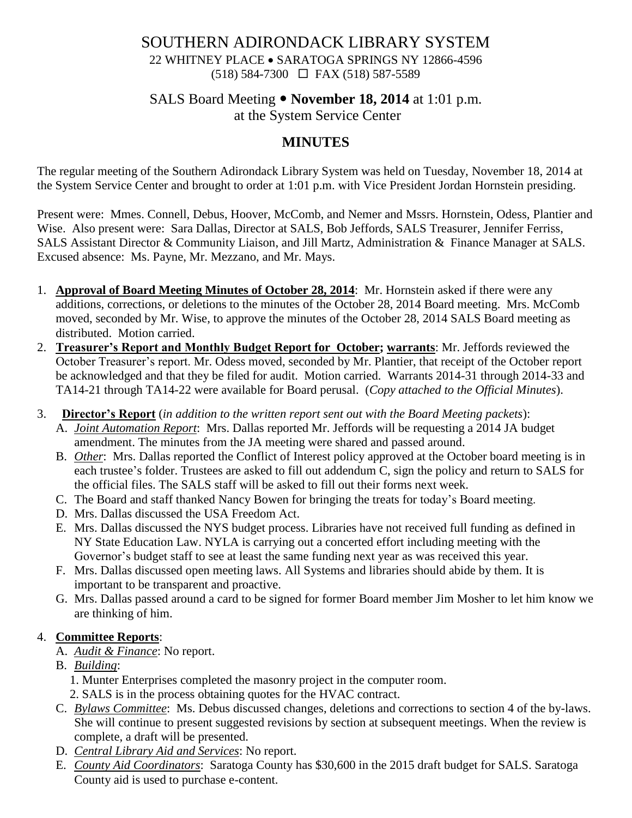# SOUTHERN ADIRONDACK LIBRARY SYSTEM 22 WHITNEY PLACE • SARATOGA SPRINGS NY 12866-4596 (518) 584-7300 FAX (518) 587-5589

# SALS Board Meeting **November 18, 2014** at 1:01 p.m.

at the System Service Center

# **MINUTES**

The regular meeting of the Southern Adirondack Library System was held on Tuesday, November 18, 2014 at the System Service Center and brought to order at 1:01 p.m. with Vice President Jordan Hornstein presiding.

Present were: Mmes. Connell, Debus, Hoover, McComb, and Nemer and Mssrs. Hornstein, Odess, Plantier and Wise. Also present were: Sara Dallas, Director at SALS, Bob Jeffords, SALS Treasurer, Jennifer Ferriss, SALS Assistant Director & Community Liaison, and Jill Martz, Administration & Finance Manager at SALS. Excused absence: Ms. Payne, Mr. Mezzano, and Mr. Mays.

- 1. **Approval of Board Meeting Minutes of October 28, 2014**: Mr. Hornstein asked if there were any additions, corrections, or deletions to the minutes of the October 28, 2014 Board meeting. Mrs. McComb moved, seconded by Mr. Wise, to approve the minutes of the October 28, 2014 SALS Board meeting as distributed. Motion carried.
- 2. **Treasurer's Report and Monthly Budget Report for October; warrants**: Mr. Jeffords reviewed the October Treasurer's report. Mr. Odess moved, seconded by Mr. Plantier, that receipt of the October report be acknowledged and that they be filed for audit. Motion carried. Warrants 2014-31 through 2014-33 and TA14-21 through TA14-22 were available for Board perusal. (*Copy attached to the Official Minutes*).
- 3. **Director's Report** (*in addition to the written report sent out with the Board Meeting packets*):
	- A. *Joint Automation Report*: Mrs. Dallas reported Mr. Jeffords will be requesting a 2014 JA budget amendment. The minutes from the JA meeting were shared and passed around.
	- B. *Other*: Mrs. Dallas reported the Conflict of Interest policy approved at the October board meeting is in each trustee's folder. Trustees are asked to fill out addendum C, sign the policy and return to SALS for the official files. The SALS staff will be asked to fill out their forms next week.
	- C. The Board and staff thanked Nancy Bowen for bringing the treats for today's Board meeting.
	- D. Mrs. Dallas discussed the USA Freedom Act.
	- E. Mrs. Dallas discussed the NYS budget process. Libraries have not received full funding as defined in NY State Education Law. NYLA is carrying out a concerted effort including meeting with the Governor's budget staff to see at least the same funding next year as was received this year.
	- F. Mrs. Dallas discussed open meeting laws. All Systems and libraries should abide by them. It is important to be transparent and proactive.
	- G. Mrs. Dallas passed around a card to be signed for former Board member Jim Mosher to let him know we are thinking of him.

#### 4. **Committee Reports**:

- A. *Audit & Finance*: No report.
- B. *Building*:
	- 1. Munter Enterprises completed the masonry project in the computer room.
	- 2. SALS is in the process obtaining quotes for the HVAC contract.
- C. *Bylaws Committee*: Ms. Debus discussed changes, deletions and corrections to section 4 of the by-laws. She will continue to present suggested revisions by section at subsequent meetings. When the review is complete, a draft will be presented.
- D. *Central Library Aid and Services*: No report.
- E. *County Aid Coordinators*: Saratoga County has \$30,600 in the 2015 draft budget for SALS. Saratoga County aid is used to purchase e-content.